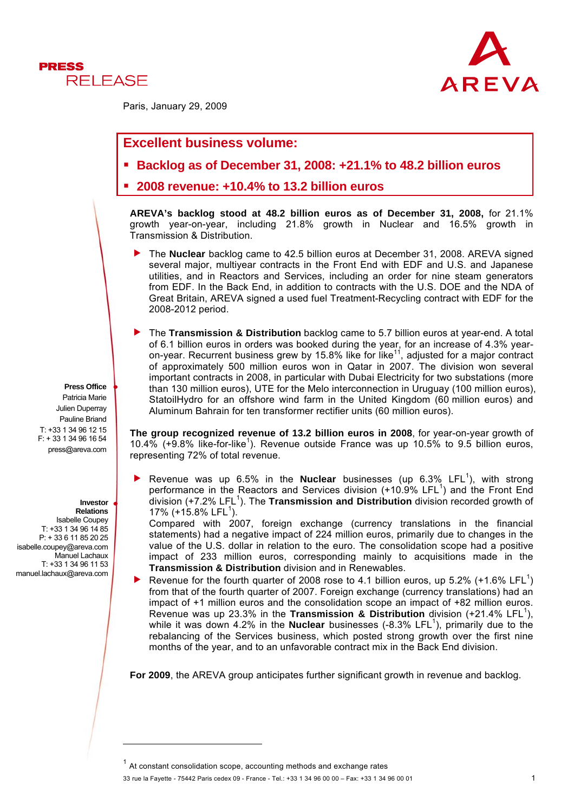



Paris, January 29, 2009

# **Excellent business volume:**

- **Backlog as of December 31, 2008: +21.1% to 48.2 billion euros**
- **2008 revenue: +10.4% to 13.2 billion euros**

**AREVA's backlog stood at 48.2 billion euros as of December 31, 2008,** for 21.1% growth year-on-year, including 21.8% growth in Nuclear and 16.5% growth in Transmission & Distribution.

- f The **Nuclear** backlog came to 42.5 billion euros at December 31, 2008. AREVA signed several major, multiyear contracts in the Front End with EDF and U.S. and Japanese utilities, and in Reactors and Services, including an order for nine steam generators from EDF. In the Back End, in addition to contracts with the U.S. DOE and the NDA of Great Britain, AREVA signed a used fuel Treatment-Recycling contract with EDF for the 2008-2012 period.
- f The **Transmission & Distribution** backlog came to 5.7 billion euros at year-end. A total of 6.1 billion euros in orders was booked during the year, for an increase of 4.3% yearon-year. Recurrent business grew by 15.8% like for like<sup>11</sup>, adjusted for a major contract of approximately 500 million euros won in Qatar in 2007. The division won several important contracts in 2008, in particular with Dubai Electricity for two substations (more than 130 million euros), UTE for the Melo interconnection in Uruguay (100 million euros), StatoilHydro for an offshore wind farm in the United Kingdom (60 million euros) and Aluminum Bahrain for ten transformer rectifier units (60 million euros).

**The group recognized revenue of 13.2 billion euros in 2008**, for year-on-year growth of 10.4%  $(+9.8\%$  like-for-like<sup>1</sup>). Revenue outside France was up 10.5% to 9.5 billion euros, representing 72% of total revenue.

Revenue was up  $6.5\%$  in the **Nuclear** businesses (up  $6.3\%$  LFL<sup>1</sup>), with strong performance in the Reactors and Services division  $(+10.9\%$  LFL<sup>1</sup>) and the Front End .<br>division (+7.2% LFL<sup>1</sup>). The **Transmission and Distribution** division recorded growth of 17% (+15.8% LFL<sup>1</sup>).

Compared with 2007, foreign exchange (currency translations in the financial statements) had a negative impact of 224 million euros, primarily due to changes in the value of the U.S. dollar in relation to the euro. The consolidation scope had a positive impact of 233 million euros, corresponding mainly to acquisitions made in the **Transmission & Distribution** division and in Renewables.

Revenue for the fourth quarter of 2008 rose to 4.1 billion euros, up 5.2%  $(+1.6\%$  LFL<sup>1</sup>) from that of the fourth quarter of 2007. Foreign exchange (currency translations) had an impact of +1 million euros and the consolidation scope an impact of +82 million euros. Revenue was up 23.3% in the **Transmission & Distribution** division  $(+21.4\%$  LFL<sup>1</sup>), while it was down 4.2% in the **Nuclear** businesses (-8.3% LFL<sup>1</sup>), primarily due to the rebalancing of the Services business, which posted strong growth over the first nine months of the year, and to an unfavorable contract mix in the Back End division.

**For 2009**, the AREVA group anticipates further significant growth in revenue and backlog.

33 rue la Fayette - 75442 Paris cedex 09 - France - Tel.: +33 1 34 96 00 00 – Fax: +33 1 34 96 00 01 1

**Press Office**

Patricia Marie Julien Duperray Pauline Briand T: +33 1 34 96 12 15 F: + 33 1 34 96 16 54 press@areva.com

#### **Investor Relations**

l

Isabelle Coupey  $T: +331134961485$ P: + 33 6 11 85 20 25 isabelle.coupey@areva.com Manuel Lachaux T: +33 1 34 96 11 53 manuel.lachaux@areva.com

 $1$  At constant consolidation scope, accounting methods and exchange rates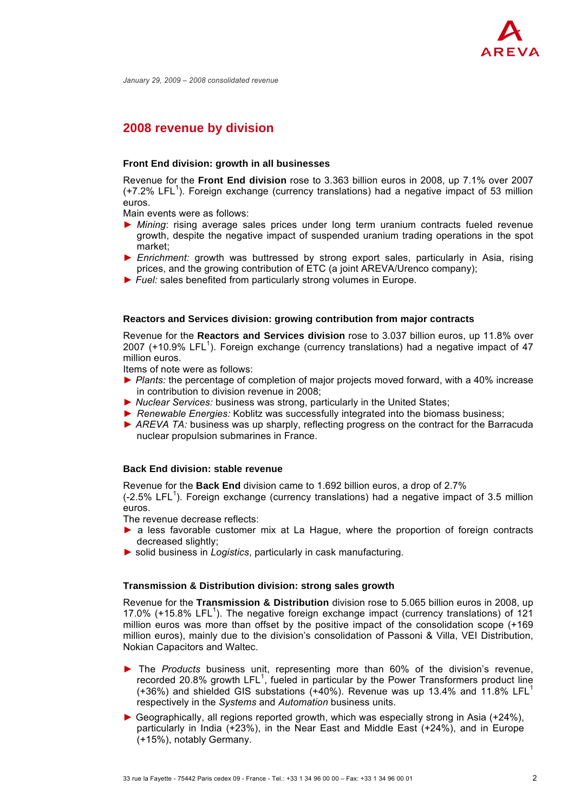

*January 29, 2009 – 2008 consolidated revenue*

# **2008 revenue by division**

#### **Front End division: growth in all businesses**

Revenue for the **Front End division** rose to 3.363 billion euros in 2008, up 7.1% over 2007  $(+7.2\%$  LFL<sup>1</sup>). Foreign exchange (currency translations) had a negative impact of 53 million euros.

Main events were as follows:

- ► *Mining*: rising average sales prices under long term uranium contracts fueled revenue growth, despite the negative impact of suspended uranium trading operations in the spot market;
- ► *Enrichment:* growth was buttressed by strong export sales, particularly in Asia, rising prices, and the growing contribution of ETC (a joint AREVA/Urenco company);
- ► *Fuel:* sales benefited from particularly strong volumes in Europe.

#### **Reactors and Services division: growing contribution from major contracts**

Revenue for the **Reactors and Services division** rose to 3.037 billion euros, up 11.8% over 2007 (+10.9% LFL<sup>1</sup>). Foreign exchange (currency translations) had a negative impact of 47 million euros.

Items of note were as follows:

- ► *Plants:* the percentage of completion of major projects moved forward, with a 40% increase in contribution to division revenue in 2008;
- ► *Nuclear Services:* business was strong, particularly in the United States;
- ► *Renewable Energies:* Koblitz was successfully integrated into the biomass business;
- ► *AREVA TA:* business was up sharply, reflecting progress on the contract for the Barracuda nuclear propulsion submarines in France.

### **Back End division: stable revenue**

Revenue for the **Back End** division came to 1.692 billion euros, a drop of 2.7%

 $(-2.5\%$  LFL<sup>1</sup>). Foreign exchange (currency translations) had a negative impact of 3.5 million euros.

The revenue decrease reflects:

- ► a less favorable customer mix at La Haque, where the proportion of foreign contracts decreased slightly;
- ► solid business in *Logistics*, particularly in cask manufacturing.

#### **Transmission & Distribution division: strong sales growth**

Revenue for the **Transmission & Distribution** division rose to 5.065 billion euros in 2008, up 17.0% ( $+15.8\%$  LFL<sup>1</sup>). The negative foreign exchange impact (currency translations) of 121 million euros was more than offset by the positive impact of the consolidation scope (+169 million euros), mainly due to the division's consolidation of Passoni & Villa, VEI Distribution, Nokian Capacitors and Waltec.

- ► The *Products* business unit, representing more than 60% of the division's revenue, recorded 20.8% growth LFL<sup>1</sup>, fueled in particular by the Power Transformers product line (+36%) and shielded GIS substations (+40%). Revenue was up 13.4% and 11.8% LFL<sup>1</sup> respectively in the *Systems* and *Automation* business units.
- *►* Geographically, all regions reported growth, which was especially strong in Asia (+24%), particularly in India (+23%), in the Near East and Middle East (+24%), and in Europe (+15%), notably Germany.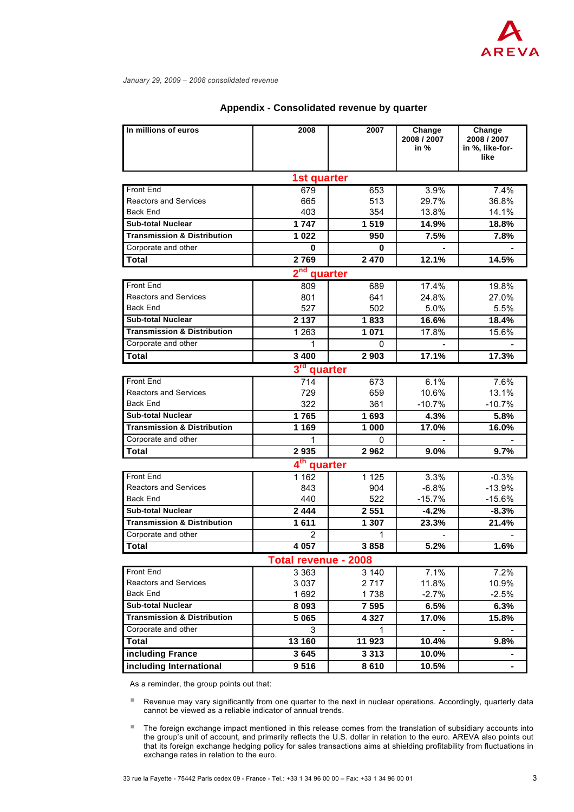

| In millions of euros                     | 2008           | 2007           | Change<br>2008 / 2007    | Change<br>2008 / 2007   |
|------------------------------------------|----------------|----------------|--------------------------|-------------------------|
|                                          |                |                | in %                     | in %, like-for-<br>like |
| 1st quarter                              |                |                |                          |                         |
| Front End                                | 679            | 653            | 3.9%                     | 7.4%                    |
| <b>Reactors and Services</b>             | 665            | 513            | 29.7%                    | 36.8%                   |
| <b>Back End</b>                          | 403            | 354            | 13.8%                    | 14.1%                   |
| <b>Sub-total Nuclear</b>                 | 1747           | 1519           | 14.9%                    | 18.8%                   |
| <b>Transmission &amp; Distribution</b>   | 1022           | 950            | 7.5%                     | 7.8%                    |
| Corporate and other                      | 0              | 0              |                          |                         |
| <b>Total</b>                             | 2769           | 2 4 7 0        | 12.1%                    | 14.5%                   |
| $2nd$ quarter                            |                |                |                          |                         |
| <b>Front End</b>                         | 809            | 689            | 17.4%                    | 19.8%                   |
| <b>Reactors and Services</b>             | 801            | 641            | 24.8%                    | 27.0%                   |
| <b>Back End</b>                          | 527            | 502            | 5.0%                     | 5.5%                    |
| <b>Sub-total Nuclear</b>                 | 2 1 3 7        | 1833           | 16.6%                    | 18.4%                   |
| <b>Transmission &amp; Distribution</b>   | 1 2 6 3        | 1 0 7 1        | 17.8%                    | 15.6%                   |
| Corporate and other                      | 1              | 0              |                          |                         |
| <b>Total</b>                             | 3 4 0 0        | 2 9 0 3        | 17.1%                    | 17.3%                   |
| 3 <sup>rd</sup><br>quarter               |                |                |                          |                         |
| Front End                                | 714            | 673            | 6.1%                     | 7.6%                    |
| <b>Reactors and Services</b>             | 729            | 659            | 10.6%                    | 13.1%                   |
| <b>Back End</b>                          | 322            | 361            | $-10.7%$                 | $-10.7%$                |
| <b>Sub-total Nuclear</b>                 | 1765           | 1693           | 4.3%                     | 5.8%                    |
| <b>Transmission &amp; Distribution</b>   | 1 1 6 9        | 1 000          | 17.0%                    | 16.0%                   |
| Corporate and other                      | 1              | 0              |                          |                         |
| Total                                    | 2935           | 2962           | 9.0%                     | 9.7%                    |
| 4 <sup>th</sup> quarter                  |                |                |                          |                         |
| Front End                                | 1 1 6 2        | 1 1 2 5        | 3.3%                     | $-0.3%$                 |
| <b>Reactors and Services</b><br>Back End | 843            | 904            | $-6.8%$                  | $-13.9%$                |
| <b>Sub-total Nuclear</b>                 | 440<br>2 4 4 4 | 522<br>2 5 5 1 | $-15.7%$                 | $-15.6%$                |
| <b>Transmission &amp; Distribution</b>   | 1611           |                | $-4.2%$                  | $-8.3%$                 |
| Corporate and other                      | 2              | 1 307<br>1     | 23.3%                    | 21.4%                   |
| Total                                    | 4 0 57         | 3858           | 5.2%                     | 1.6%                    |
| Total revenue - 2008                     |                |                |                          |                         |
| Front End                                | 3 3 6 3        | 3 1 4 0        | 7.1%                     | 7.2%                    |
| <b>Reactors and Services</b>             | 3 0 3 7        | 2 7 1 7        | 11.8%                    | 10.9%                   |
| <b>Back End</b>                          | 1692           | 1738           | $-2.7%$                  | $-2.5%$                 |
| <b>Sub-total Nuclear</b>                 | 8 0 9 3        | 7 5 9 5        | 6.5%                     | 6.3%                    |
| <b>Transmission &amp; Distribution</b>   | 5 0 6 5        | 4 3 2 7        | 17.0%                    | 15.8%                   |
| Corporate and other                      | 3              | 1              | $\overline{\phantom{a}}$ |                         |
| <b>Total</b>                             | 13 160         | 11 923         | 10.4%                    | 9.8%                    |
| including France                         | 3645           | 3 3 1 3        | 10.0%                    |                         |
| including International                  | 9516           | 8610           | 10.5%                    |                         |
|                                          |                |                |                          |                         |

### **Appendix - Consolidated revenue by quarter**

As a reminder, the group points out that:

 Revenue may vary significantly from one quarter to the next in nuclear operations. Accordingly, quarterly data cannot be viewed as a reliable indicator of annual trends.

 The foreign exchange impact mentioned in this release comes from the translation of subsidiary accounts into the group's unit of account, and primarily reflects the U.S. dollar in relation to the euro. AREVA also points out that its foreign exchange hedging policy for sales transactions aims at shielding profitability from fluctuations in exchange rates in relation to the euro.